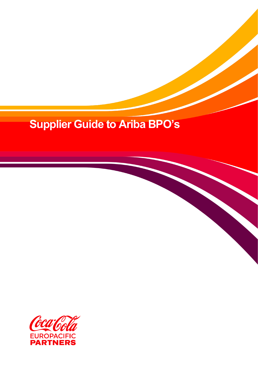## **Supplier Guide to Ariba BPO's**

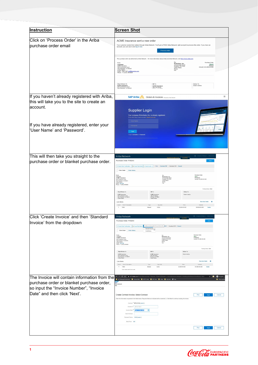| Instruction                                                                                                          | <b>Screen Shot</b>                                                                                                                                                                                                                                                                                                                                                                                                                                                                                         |                                                                                                                |  |
|----------------------------------------------------------------------------------------------------------------------|------------------------------------------------------------------------------------------------------------------------------------------------------------------------------------------------------------------------------------------------------------------------------------------------------------------------------------------------------------------------------------------------------------------------------------------------------------------------------------------------------------|----------------------------------------------------------------------------------------------------------------|--|
| Click on 'Process Order' in the Ariba<br>purchase order email                                                        | ACME Insurance sent a new order<br>Your customer sends their orders through Ariba Network. You'll get a FREE Ariba Network, light account to process this order. If you have an<br>account, you can use it and log in now<br>Process order                                                                                                                                                                                                                                                                 |                                                                                                                |  |
|                                                                                                                      | This purchase order was delivered by Ariba Network. For more information about Ariba and Ariba Network, visit http://www.ariba<br>Purchase Order<br>From:<br><b>TO:</b><br>Workchairs, Inc.<br>123 Burnside Street<br>Portland, OR 97201<br>United States<br>$(New)$<br>$PO8243$<br><b>Customer</b><br>ACME Insurance<br>SSO Commerce Court<br>San Francisco, CA 94010<br>United States<br>Email: (Sam Zell) <u>szell@acmeins.com</u><br>Phone: +1 (610) 4816648<br>unt: \$13,000.00 USD<br>Phone:<br>Fax: |                                                                                                                |  |
|                                                                                                                      | Ship All Items To<br>Bill To<br><b>ACME Insurance</b><br>550 Commerce Court<br>San Francisco, CA 94010<br><b>ACME Insurance</b><br>456 Oak Street                                                                                                                                                                                                                                                                                                                                                          | Deliver To<br>Robert Jenkins                                                                                   |  |
| If you haven't already registered with Ariba,<br>this will take you to the site to create an<br>laccount.            | ₩<br><b>SAP Ariba</b> Orders & Invoices <b>Provenant by Adia Natur</b><br><b>Supplier Login</b><br>Your company Workchairs, Inc. is already registered.<br>If you don't have a user account, request one now                                                                                                                                                                                                                                                                                               |                                                                                                                |  |
| If you have already registered, enter your<br><sup>l</sup> 'User Name' and 'Password'.                               | <b>User Name</b><br>Password<br>Legin<br>orgot Username or Password                                                                                                                                                                                                                                                                                                                                                                                                                                        |                                                                                                                |  |
| This will then take you straight to the<br>purchase order or blanket purchase order.                                 | Ariba Network<br>Purchase Order: PO8243<br>2 Create Order Confirmation ▼ 6 Create Ship Notice   El Create Invoice ▼   Print -   Download PDF   Download CSV   Resend<br>Order History<br>Order Detail                                                                                                                                                                                                                                                                                                      |                                                                                                                |  |
|                                                                                                                      | From:<br>Customer<br>Vorkchairs, Inc.<br>Workchairs, Inc.<br>123 Burnside Street<br>Portland, OR 97201<br>United States<br>ACME Insurance<br>550 Commerce Court<br>San Francisco, CA 94010<br>United States<br>Email: Sam Zell<br>Phone: +1 (610) 4816648                                                                                                                                                                                                                                                  | Purchase Order<br>(New)<br>PO8243<br>nt \$13,000.00 USD                                                        |  |
|                                                                                                                      | Ship All Items To<br><b>Bill To</b><br><b>ACME</b> Insurance<br>ACME Insurance<br>456 Oak Street<br>El Paso, TX 79901<br>United States<br>550 Commerce Court<br>San Francisco, CA 94010<br>United States<br>Line Items<br>Line # Part # / Descript<br>Qty (Uni<br>72652<br>$5$ (EA)<br>Materia                                                                                                                                                                                                             | Routing Status: Sent<br>Deliver To<br>Robert Jenkins<br>Price<br>Subtotal<br>\$2,000.00 USD<br>\$10,000.00 USD |  |
| Click 'Create Invoice' and then 'Standard<br>Invoice' from the dropdown                                              | Ariba Network<br>Purchase Order: PO8243<br>Create Order Confirmation v & Create Ship Natio<br>Create an invoice against the purchase order   PDF   Download CSV   Resend<br>Standard Invoice<br>Order Detail Order History<br>Credit Memo                                                                                                                                                                                                                                                                  | ⊞<br><b>Learn More</b>                                                                                         |  |
|                                                                                                                      | From:<br>Customer<br>Workchairs, in<br>123 Burnside Street<br>Portland, OR 97201<br>United States<br><b>ACME Insurance</b><br>550 Commerce Court<br>San Francisco, CA 94010<br>United States<br>Email: Sam Zell<br>Phone: +1 (610) 4816648                                                                                                                                                                                                                                                                 | Purchase Order                                                                                                 |  |
|                                                                                                                      | Ship All Items To<br><b>Bill</b> To<br>ACME Insurance<br>ACME Insurance<br>456 Oak Street<br>El Paso, TX 79901<br>United States<br>550 Commerce Court<br>San Francisco, CA 94010<br>United States<br>Line Items<br>Line # Part # / Der<br><b>Oty (Uni</b><br>72652<br>$\mathbf{1}$<br>$5$ (EA)<br>Material                                                                                                                                                                                                 | Routing Status: Sent<br>Deliver To<br>Robert Jenkins<br>Price<br>\$2,000.00 USD<br>\$10,000.00 USD             |  |
| The Invoice will contain information from the                                                                        | Task cubicle with 5-foot walls<br>$\rightarrow$ C' $\Delta$ a s1-2.ariba.com/8<br>/Main/aw?awh=r&awssk=TQ3e2nUZ&realr<br>SAP Mar<br>rks <b>&amp; Concurtinks &amp; SAPTI Links &amp; SAPtinks &amp; Anba &amp; Mytinks @</b> Ops                                                                                                                                                                                                                                                                           | <b>O</b> Incognite<br>$\mathbf{w}$<br>Other bo                                                                 |  |
| purchase order or blanket purchase order,<br>so input the "Invoice Number", "Invoice<br>Date" and then click 'Next'. | <b>Viba Network</b><br>Create Contract Invoice: Select Contract<br>Enter the information requested in the fields below. Required fields are indicated with an asterisk (*). Click Next to continue creating the invoice                                                                                                                                                                                                                                                                                    | Prev<br>Next<br>Cancel                                                                                         |  |
|                                                                                                                      | Contract: <sup>*</sup> BPO41138 [ select ]<br>Invoice #: " BPO41138-1<br>Invoice Date: Tue, 11 Feb. 2020<br>$\mathbb{R}^n$<br>Sold To Email:<br>Payment Terms: Y030 [select]<br>Ship From: UM                                                                                                                                                                                                                                                                                                              |                                                                                                                |  |
|                                                                                                                      |                                                                                                                                                                                                                                                                                                                                                                                                                                                                                                            | Prev<br>Cancel<br>Next                                                                                         |  |

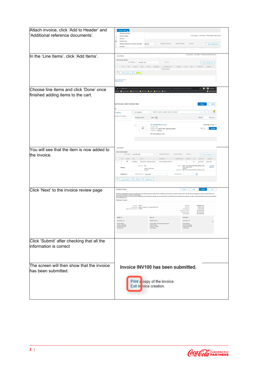| Attach invoice, click 'Add to Header' and  | Add to Header<br><b>Shipping Documents</b>                                                                                                                                                                                                                                  |  |  |
|--------------------------------------------|-----------------------------------------------------------------------------------------------------------------------------------------------------------------------------------------------------------------------------------------------------------------------------|--|--|
| 'Additional reference documents'.          | 2 Line Items, 2 Included, 0 Previously Fully Invoice<br>Special Handling<br>U                                                                                                                                                                                               |  |  |
|                                            | Discount<br>Payment Term                                                                                                                                                                                                                                                    |  |  |
|                                            | Shipping Documents<br>Special Handling<br>Discount<br>Additional Reference Documents and Dates<br>sales tax<br>Add to Included Lines                                                                                                                                        |  |  |
|                                            | Comment                                                                                                                                                                                                                                                                     |  |  |
|                                            | 0 Line Items. 0 Included. 0 Previously Fully Invoiced                                                                                                                                                                                                                       |  |  |
| In the 'Line Items', click 'Add Items'.    | Line Items                                                                                                                                                                                                                                                                  |  |  |
|                                            | Insert Line Item Options<br>Tax Category:<br>$\vee$ Discount<br>10% GST / GST<br>Add to Included Lines                                                                                                                                                                      |  |  |
|                                            | No.<br>No.<br>Type Part # Description<br>Customer Part #<br>Quantity<br>Unit<br>Unit Price<br>Subtotal<br>Include<br>Unit<br>No item selected                                                                                                                               |  |  |
|                                            |                                                                                                                                                                                                                                                                             |  |  |
|                                            | ъ<br>Line Item Actions $\vert \mathbf{v} \vert \vert$<br>Add items                                                                                                                                                                                                          |  |  |
|                                            | um on Error Dump (i)                                                                                                                                                                                                                                                        |  |  |
|                                            | ou SOUL                                                                                                                                                                                                                                                                     |  |  |
|                                            |                                                                                                                                                                                                                                                                             |  |  |
| Choose line items and click 'Done' once    | <b>O</b> Incognit<br>6 s1-2.ariba.com/Buyer/Main/aw?awh=r8cawssk=TQ3e2nUZ8trealm=cokeone8tpasswordadapter=AribaSupplierNetworkUser8cdard=1<br>☆ 國<br>marks <b>Concurtinks R</b> SAP IT Links <b>R</b> SAP Links <b>R</b> Ariba <b>R</b> My Links <b>@</b> Ops<br>Other book |  |  |
| finished adding items to the cart.         |                                                                                                                                                                                                                                                                             |  |  |
|                                            |                                                                                                                                                                                                                                                                             |  |  |
|                                            | act Invoice: Add Contract Item<br>Cancel<br>Done                                                                                                                                                                                                                            |  |  |
|                                            |                                                                                                                                                                                                                                                                             |  |  |
|                                            | 밑<br>$\vee$ Search by part #, supplier name, or keyword<br>$ v $ Q<br>All Categories<br>Category                                                                                                                                                                            |  |  |
|                                            | emiums. Promotions.                                                                                                                                                                                                                                                         |  |  |
|                                            | 1 item(s) found<br>View: $\equiv$<br>Sort by:<br>Relevance V                                                                                                                                                                                                                |  |  |
|                                            |                                                                                                                                                                                                                                                                             |  |  |
|                                            | MF Sustainability Q1 OOH<br>\$198,709.35 AUD / Eac<br>ш<br>Supplier: UM<br>$\Delta \vec{r}$<br>Oty: II<br>Supplier Part #: BPO41138-1_MiscExpenseltem<br>Add Item                                                                                                           |  |  |
|                                            | Available in: 0 Day(s)                                                                                                                                                                                                                                                      |  |  |
|                                            | MF Sustainability Q1 OOH                                                                                                                                                                                                                                                    |  |  |
|                                            |                                                                                                                                                                                                                                                                             |  |  |
|                                            |                                                                                                                                                                                                                                                                             |  |  |
| You will see that the item is now added to | Line Items                                                                                                                                                                                                                                                                  |  |  |
|                                            | Insert Line Item Options                                                                                                                                                                                                                                                    |  |  |
| the invoice.                               | Tax Category: 10% GST / GST<br>$\vee$ Shipping Documents Special Handling<br>Discount<br>Add to Included Lines                                                                                                                                                              |  |  |
|                                            | No.<br>Include<br>Type<br>Part #<br>Description<br>Unit Price<br>Subtotal<br>Customer Part #<br>Unit<br>$\bullet$<br><b>MATERIAL</b><br>BPO41138-1 MiscExpenseltem<br>MF Sustainability Q1 OOH<br>EA<br>\$0.00 AUD<br>\$0.00 AUD<br>$\mathbf{1}$<br>$\mathbf{1}$            |  |  |
|                                            | Ship From: UM<br>Ship To: NSW - Coca-Cola Amatil North Sydney Lvl 13                                                                                                                                                                                                        |  |  |
|                                            | ViewEdit<br>Addresses<br>North Sydney NSW<br>Shipping<br>SURRY HILLS NSW<br>Australia<br>Deliver To: NSW - Coca-Cola Amatil North Sydney Lvl 13<br>Australia                                                                                                                |  |  |
|                                            | <b>Shipping Cost</b><br>Shipping Date:                                                                                                                                                                                                                                      |  |  |
|                                            | Shipping Amount: \$0.00 AUD<br>в<br>Line Item Actions<br>Add Items<br>Change Items                                                                                                                                                                                          |  |  |
|                                            |                                                                                                                                                                                                                                                                             |  |  |
|                                            |                                                                                                                                                                                                                                                                             |  |  |
| Click 'Next' to the invoice review page    | Create Invoice<br>Save<br>Exit<br>Previous<br>Submit                                                                                                                                                                                                                        |  |  |
|                                            |                                                                                                                                                                                                                                                                             |  |  |
|                                            | -<br>decument destination county is: Unhai State at Monetarially signed according to the compliance may and your contener's invoice reles. The document's originating county is: United States. The<br>If you want your livelase to                                         |  |  |
|                                            | Standard Invoice                                                                                                                                                                                                                                                            |  |  |
|                                            | Invoice #: INV100<br>\$6,000.00 USD<br>Subtotal<br>\$450.00 USD<br>Invoice Date: Friday 25 Aug 2017 10:33 AM GMT-07:00<br>Total Tax                                                                                                                                         |  |  |
|                                            | Original Purchase Order: PO8243<br><b>Total Shipping:</b><br>\$120.00 USD<br>\$6,570.00 USD<br>Total Gross Amount                                                                                                                                                           |  |  |
|                                            | Total Net Amoun<br>\$6,570.00 USD<br>\$6,570.00 USD<br><b>Amount Due</b>                                                                                                                                                                                                    |  |  |
|                                            | REMIT TO:<br>BILL TO:<br>SUPPLIER:                                                                                                                                                                                                                                          |  |  |
|                                            | irs, Inc<br>ACME Insurance<br>Postal Address<br>Postal Address (Corporate Headquarters):<br>Postal Address                                                                                                                                                                  |  |  |
|                                            | 123 Bunside Street<br>Portland, OR 97201<br>456 Oak Street<br>El Paso, TX 79901<br>123 Burnside Street<br>Portland, OR 97201<br><b>United States</b><br><b>United States</b><br>United States                                                                               |  |  |
|                                            |                                                                                                                                                                                                                                                                             |  |  |
|                                            |                                                                                                                                                                                                                                                                             |  |  |
|                                            |                                                                                                                                                                                                                                                                             |  |  |
| Click 'Submit' after checking that all the |                                                                                                                                                                                                                                                                             |  |  |
| information is correct                     |                                                                                                                                                                                                                                                                             |  |  |
|                                            |                                                                                                                                                                                                                                                                             |  |  |
|                                            |                                                                                                                                                                                                                                                                             |  |  |
|                                            |                                                                                                                                                                                                                                                                             |  |  |
| The screen will then show that the invoice |                                                                                                                                                                                                                                                                             |  |  |
|                                            | Invoice INV100 has been submitted.                                                                                                                                                                                                                                          |  |  |
| has been submitted.                        |                                                                                                                                                                                                                                                                             |  |  |
|                                            | Print a copy of the invoice.<br>Exit in roice creation.                                                                                                                                                                                                                     |  |  |
|                                            |                                                                                                                                                                                                                                                                             |  |  |
|                                            |                                                                                                                                                                                                                                                                             |  |  |
|                                            |                                                                                                                                                                                                                                                                             |  |  |
|                                            |                                                                                                                                                                                                                                                                             |  |  |
|                                            |                                                                                                                                                                                                                                                                             |  |  |
|                                            |                                                                                                                                                                                                                                                                             |  |  |